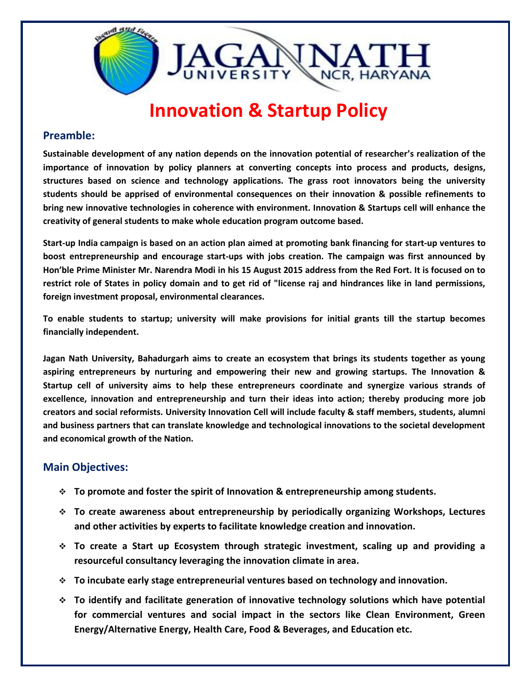

## **Innovation & Startup Policy**

## **Preamble:**

**Sustainable development of any nation depends on the innovation potential of researcher's realization of the importance of innovation by policy planners at converting concepts into process and products, designs, structures based on science and technology applications. The grass root innovators being the university students should be apprised of environmental consequences on their innovation & possible refinements to bring new innovative technologies in coherence with environment. Innovation & Startups cell will enhance the creativity of general students to make whole education program outcome based.**

**Start-up India campaign is based on an action plan aimed at promoting bank financing for start-up ventures to boost entrepreneurship and encourage start-ups with jobs creation. The campaign was first announced by Hon'ble Prime Minister Mr. Narendra Modi in his 15 August 2015 address from the Red Fort. It is focused on to restrict role of States in policy domain and to get rid of "license raj and hindrances like in land permissions, foreign investment proposal, environmental clearances.** 

**To enable students to startup; university will make provisions for initial grants till the startup becomes financially independent.**

**Jagan Nath University, Bahadurgarh aims to create an ecosystem that brings its students together as young aspiring entrepreneurs by nurturing and empowering their new and growing startups. The Innovation & Startup cell of university aims to help these entrepreneurs coordinate and synergize various strands of excellence, innovation and entrepreneurship and turn their ideas into action; thereby producing more job creators and social reformists. University Innovation Cell will include faculty & staff members, students, alumni and business partners that can translate knowledge and technological innovations to the societal development and economical growth of the Nation.**

## **Main Objectives:**

- **To promote and foster the spirit of Innovation & entrepreneurship among students.**
- **To create awareness about entrepreneurship by periodically organizing Workshops, Lectures and other activities by experts to facilitate knowledge creation and innovation.**
- **To create a Start up Ecosystem through strategic investment, scaling up and providing a resourceful consultancy leveraging the innovation climate in area.**
- **To incubate early stage entrepreneurial ventures based on technology and innovation.**
- **To identify and facilitate generation of innovative technology solutions which have potential for commercial ventures and social impact in the sectors like Clean Environment, Green Energy/Alternative Energy, Health Care, Food & Beverages, and Education etc.**